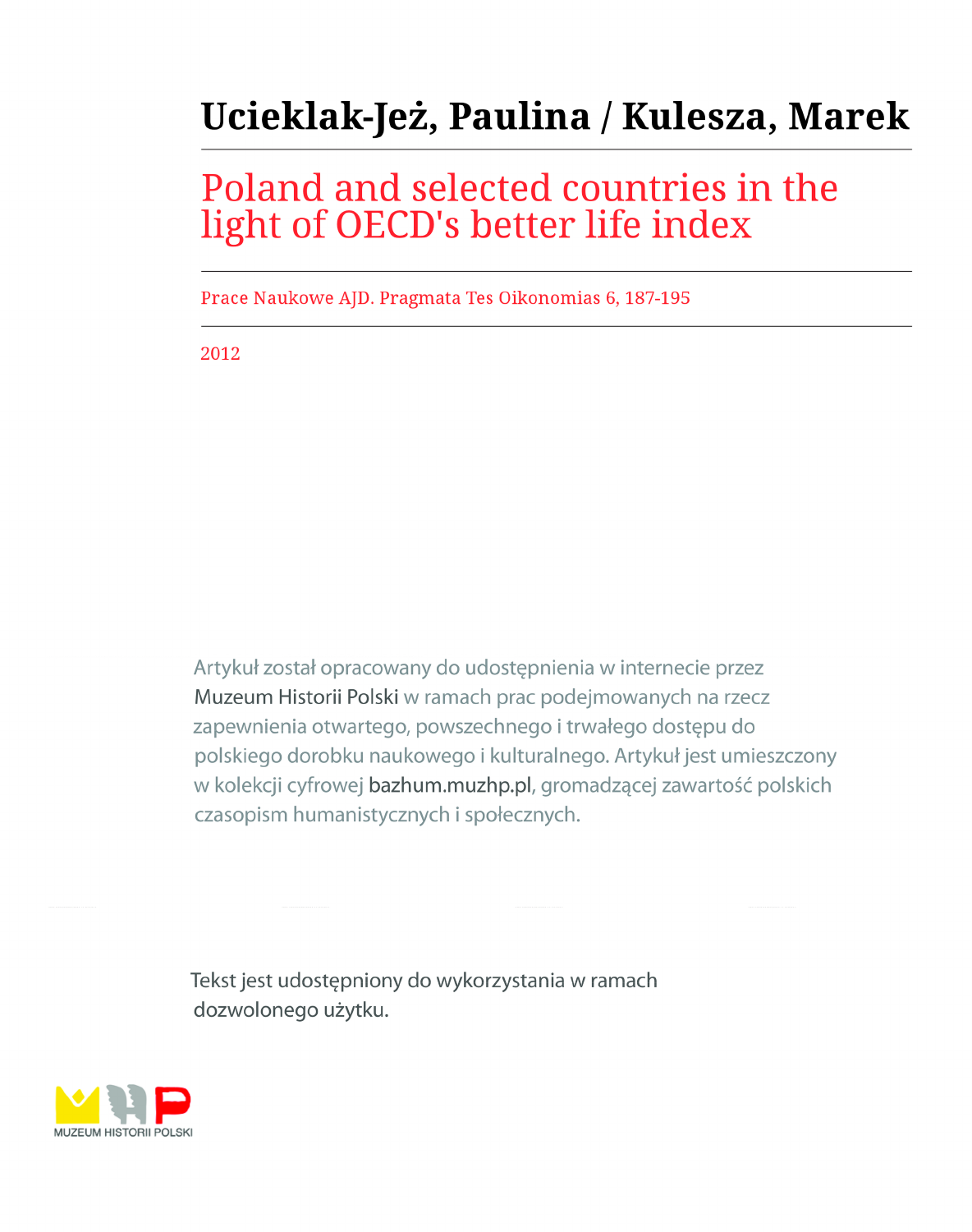# Ucieklak-Jeż, Paulina / Kulesza, Marek

## Poland and selected countries in the light of OECD's better life index

Prace Naukowe AJD. Pragmata Tes Oikonomias 6, 187-195

2012

Artykuł został opracowany do udostępnienia w internecie przez Muzeum Historii Polski w ramach prac podejmowanych na rzecz zapewnienia otwartego, powszechnego i trwałego dostępu do polskiego dorobku naukowego i kulturalnego. Artykuł jest umieszczony w kolekcji cyfrowej bazhum.muzhp.pl, gromadzącej zawartość polskich czasopism humanistycznych i społecznych.

Tekst jest udostępniony do wykorzystania w ramach dozwolonego użytku.

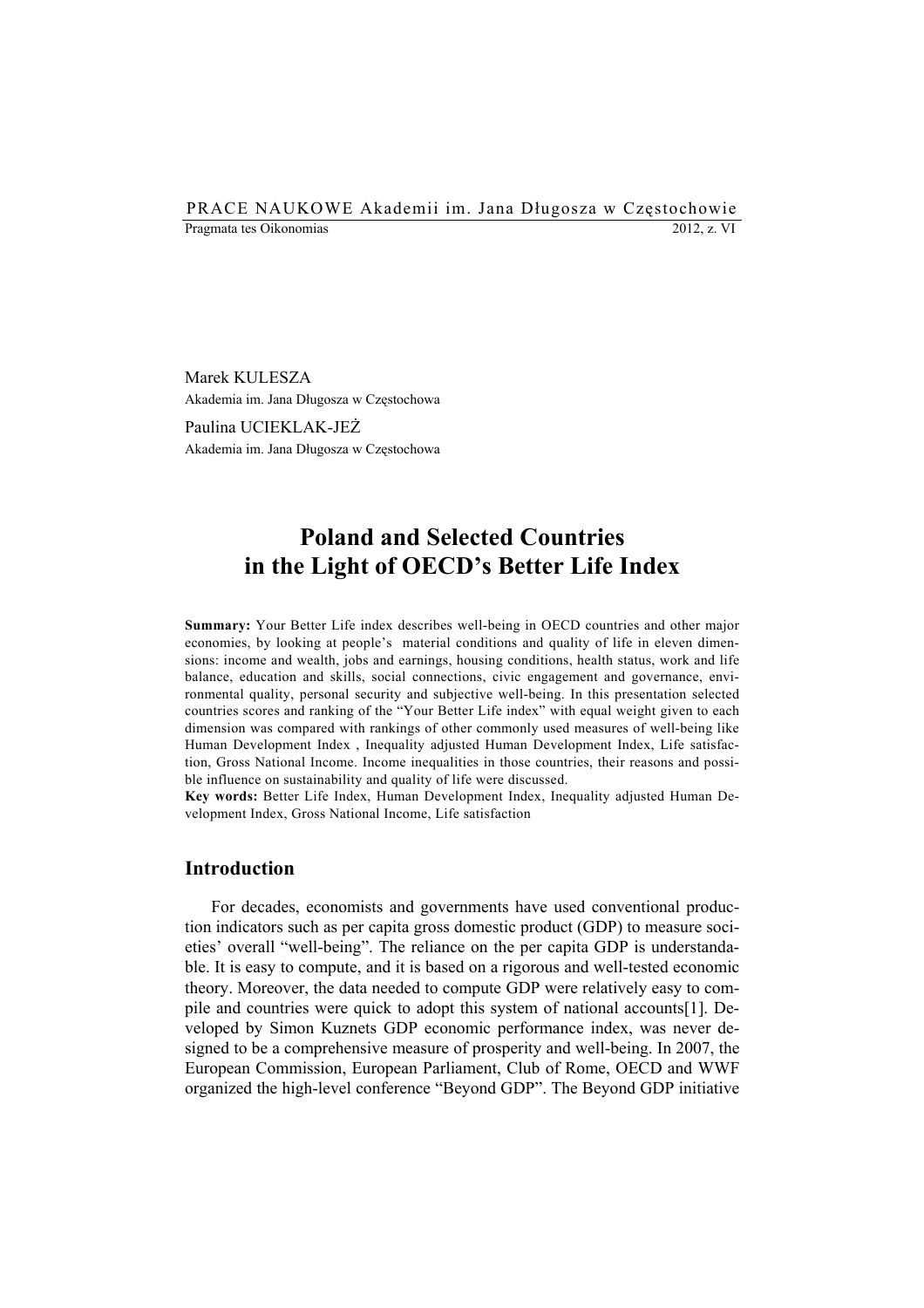#### PRACE NAUKOWE Akademii im. Jana Długosza w Częstochowie Pragmata tes Oikonomias 2012, z. VI

Marek KULESZA Akademia im. Jana Długosza w Częstochowa

Paulina UCIEKLAK-JEŻ Akademia im. Jana Długosza w Częstochowa

### **Poland and Selected Countries in the Light of OECD's Better Life Index**

**Summary:** Your Better Life index describes well-being in OECD countries and other major economies, by looking at people's material conditions and quality of life in eleven dimensions: income and wealth, jobs and earnings, housing conditions, health status, work and life balance, education and skills, social connections, civic engagement and governance, environmental quality, personal security and subjective well-being. In this presentation selected countries scores and ranking of the "Your Better Life index" with equal weight given to each dimension was compared with rankings of other commonly used measures of well-being like Human Development Index , Inequality adjusted Human Development Index, Life satisfaction, Gross National Income. Income inequalities in those countries, their reasons and possible influence on sustainability and quality of life were discussed.

**Key words:** Better Life Index, Human Development Index, Inequality adjusted Human Development Index, Gross National Income, Life satisfaction

#### **Introduction**

For decades, economists and governments have used conventional production indicators such as per capita gross domestic product (GDP) to measure societies' overall "well-being". The reliance on the per capita GDP is understandable. It is easy to compute, and it is based on a rigorous and well-tested economic theory. Moreover, the data needed to compute GDP were relatively easy to compile and countries were quick to adopt this system of national accounts[1]. Developed by Simon Kuznets GDP economic performance index, was never designed to be a comprehensive measure of prosperity and well-being. In 2007, the European Commission, European Parliament, Club of Rome, OECD and WWF organized the high-level conference "Beyond GDP". The Beyond GDP initiative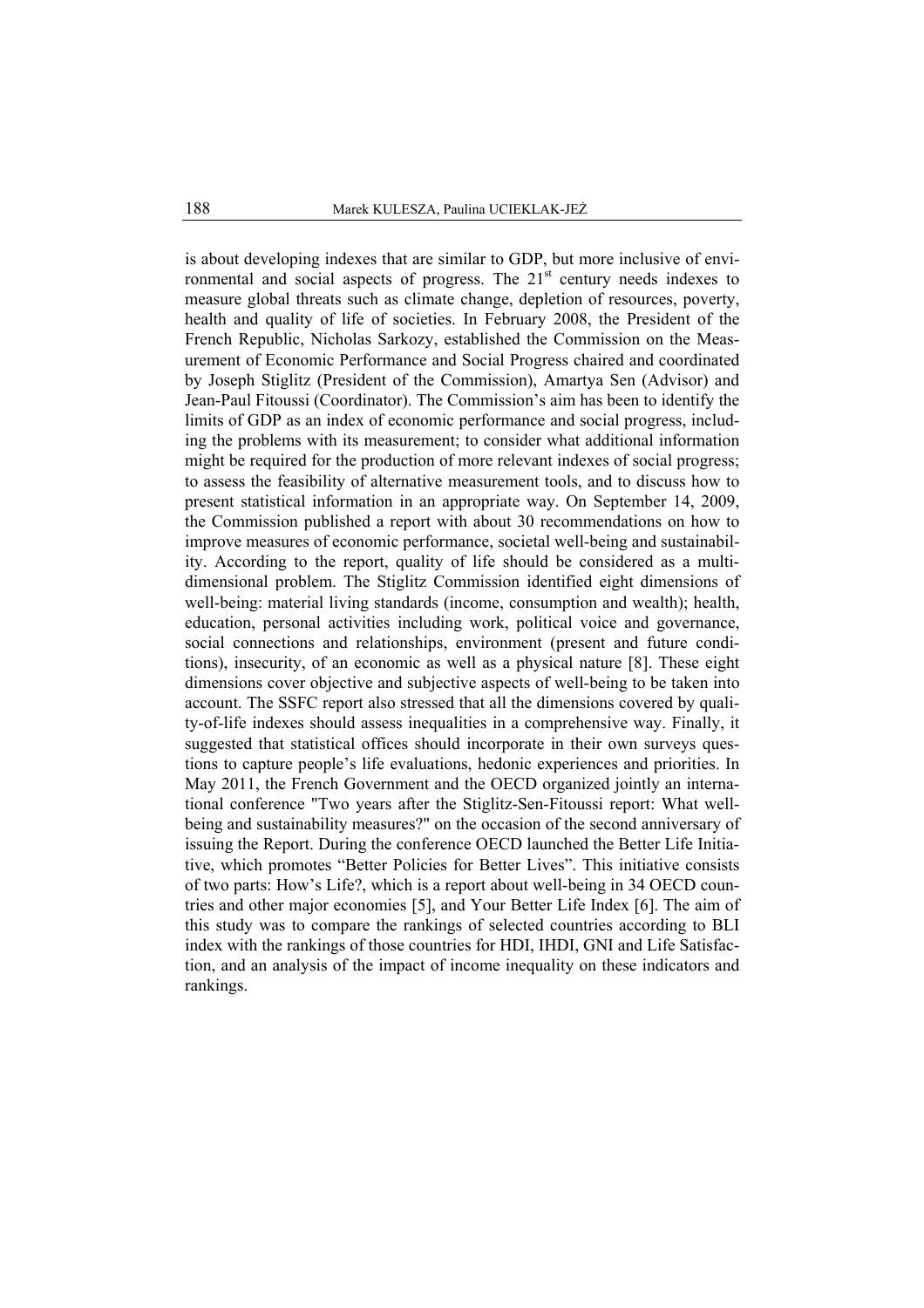is about developing indexes that are similar to GDP, but more inclusive of environmental and social aspects of progress. The  $21<sup>st</sup>$  century needs indexes to measure global threats such as climate change, depletion of resources, poverty, health and quality of life of societies. In February 2008, the President of the French Republic, Nicholas Sarkozy, established the Commission on the Measurement of Economic Performance and Social Progress chaired and coordinated by Joseph Stiglitz (President of the Commission), Amartya Sen (Advisor) and Jean-Paul Fitoussi (Coordinator). The Commission's aim has been to identify the limits of GDP as an index of economic performance and social progress, including the problems with its measurement; to consider what additional information might be required for the production of more relevant indexes of social progress; to assess the feasibility of alternative measurement tools, and to discuss how to present statistical information in an appropriate way. On September 14, 2009, the Commission published a report with about 30 recommendations on how to improve measures of economic performance, societal well-being and sustainability. According to the report, quality of life should be considered as a multidimensional problem. The Stiglitz Commission identified eight dimensions of well-being: material living standards (income, consumption and wealth); health, education, personal activities including work, political voice and governance, social connections and relationships, environment (present and future conditions), insecurity, of an economic as well as a physical nature [8]. These eight dimensions cover objective and subjective aspects of well-being to be taken into account. The SSFC report also stressed that all the dimensions covered by quality-of-life indexes should assess inequalities in a comprehensive way. Finally, it suggested that statistical offices should incorporate in their own surveys questions to capture people's life evaluations, hedonic experiences and priorities. In May 2011, the French Government and the OECD organized jointly an international conference "Two years after the Stiglitz-Sen-Fitoussi report: What wellbeing and sustainability measures?" on the occasion of the second anniversary of issuing the Report. During the conference OECD launched the Better Life Initiative, which promotes "Better Policies for Better Lives". This initiative consists of two parts: How's Life?, which is a report about well-being in 34 OECD countries and other major economies [5], and Your Better Life Index [6]. The aim of this study was to compare the rankings of selected countries according to BLI index with the rankings of those countries for HDI, IHDI, GNI and Life Satisfaction, and an analysis of the impact of income inequality on these indicators and rankings.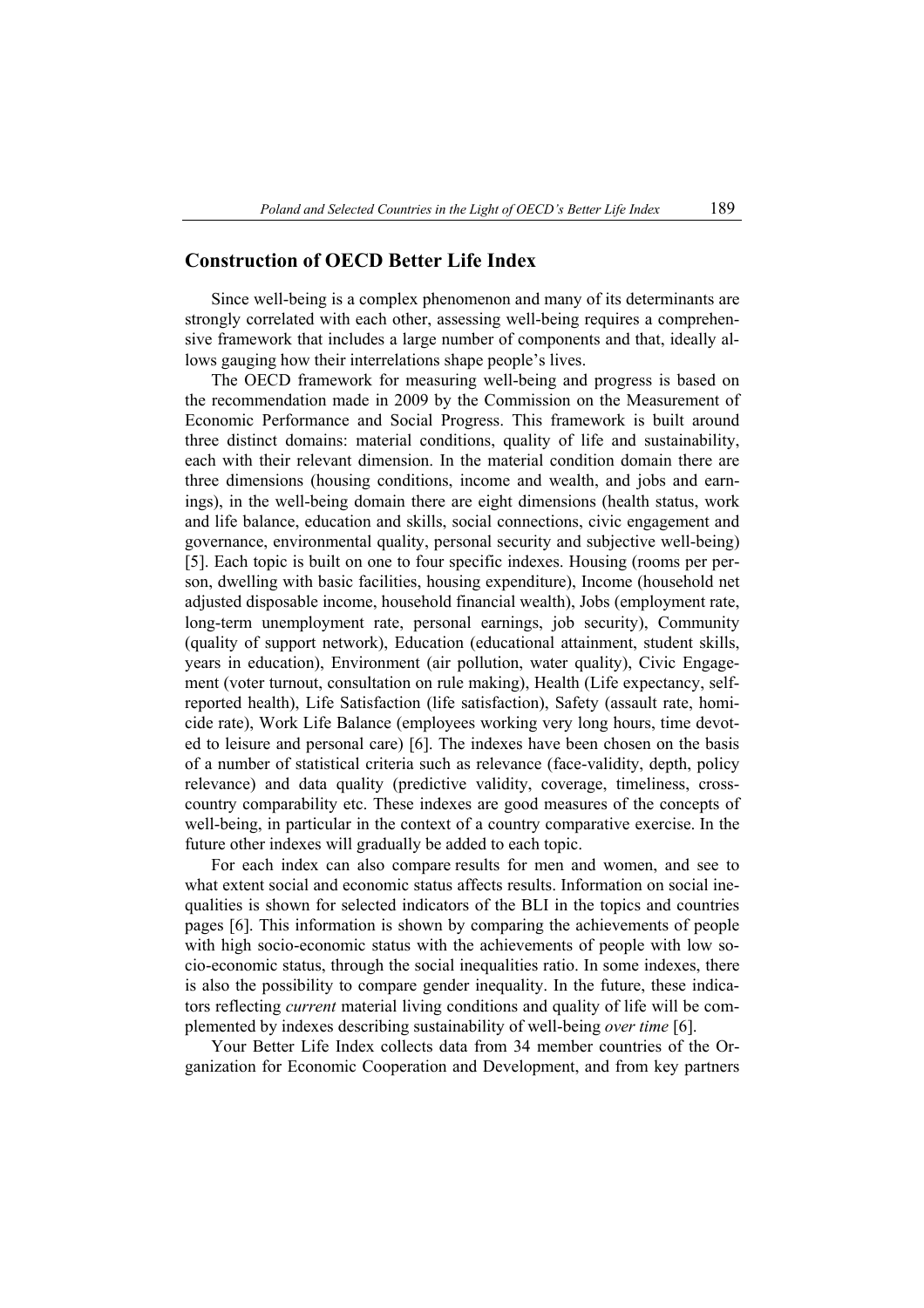#### **Construction of OECD Better Life Index**

Since well-being is a complex phenomenon and many of its determinants are strongly correlated with each other, assessing well-being requires a comprehensive framework that includes a large number of components and that, ideally allows gauging how their interrelations shape people's lives.

The OECD framework for measuring well-being and progress is based on the recommendation made in 2009 by the Commission on the Measurement of Economic Performance and Social Progress. This framework is built around three distinct domains: material conditions, quality of life and sustainability, each with their relevant dimension. In the material condition domain there are three dimensions (housing conditions, income and wealth, and jobs and earnings), in the well-being domain there are eight dimensions (health status, work and life balance, education and skills, social connections, civic engagement and governance, environmental quality, personal security and subjective well-being) [5]. Each topic is built on one to four specific indexes. Housing (rooms per person, dwelling with basic facilities, housing expenditure), Income (household net adjusted disposable income, household financial wealth), Jobs (employment rate, long-term unemployment rate, personal earnings, job security), Community (quality of support network), Education (educational attainment, student skills, years in education), Environment (air pollution, water quality), Civic Engagement (voter turnout, consultation on rule making), Health (Life expectancy, selfreported health), Life Satisfaction (life satisfaction), Safety (assault rate, homicide rate), Work Life Balance (employees working very long hours, time devoted to leisure and personal care) [6]. The indexes have been chosen on the basis of a number of statistical criteria such as relevance (face-validity, depth, policy relevance) and data quality (predictive validity, coverage, timeliness, crosscountry comparability etc. These indexes are good measures of the concepts of well-being, in particular in the context of a country comparative exercise. In the future other indexes will gradually be added to each topic.

For each index can also compare results for men and women, and see to what extent social and economic status affects results. Information on social inequalities is shown for selected indicators of the BLI in the topics and countries pages [6]. This information is shown by comparing the achievements of people with high socio-economic status with the achievements of people with low socio-economic status, through the social inequalities ratio. In some indexes, there is also the possibility to compare gender inequality. In the future, these indicators reflecting *current* material living conditions and quality of life will be complemented by indexes describing sustainability of well-being *over time* [6].

Your Better Life Index collects data from 34 member countries of the Organization for Economic Cooperation and Development, and from key partners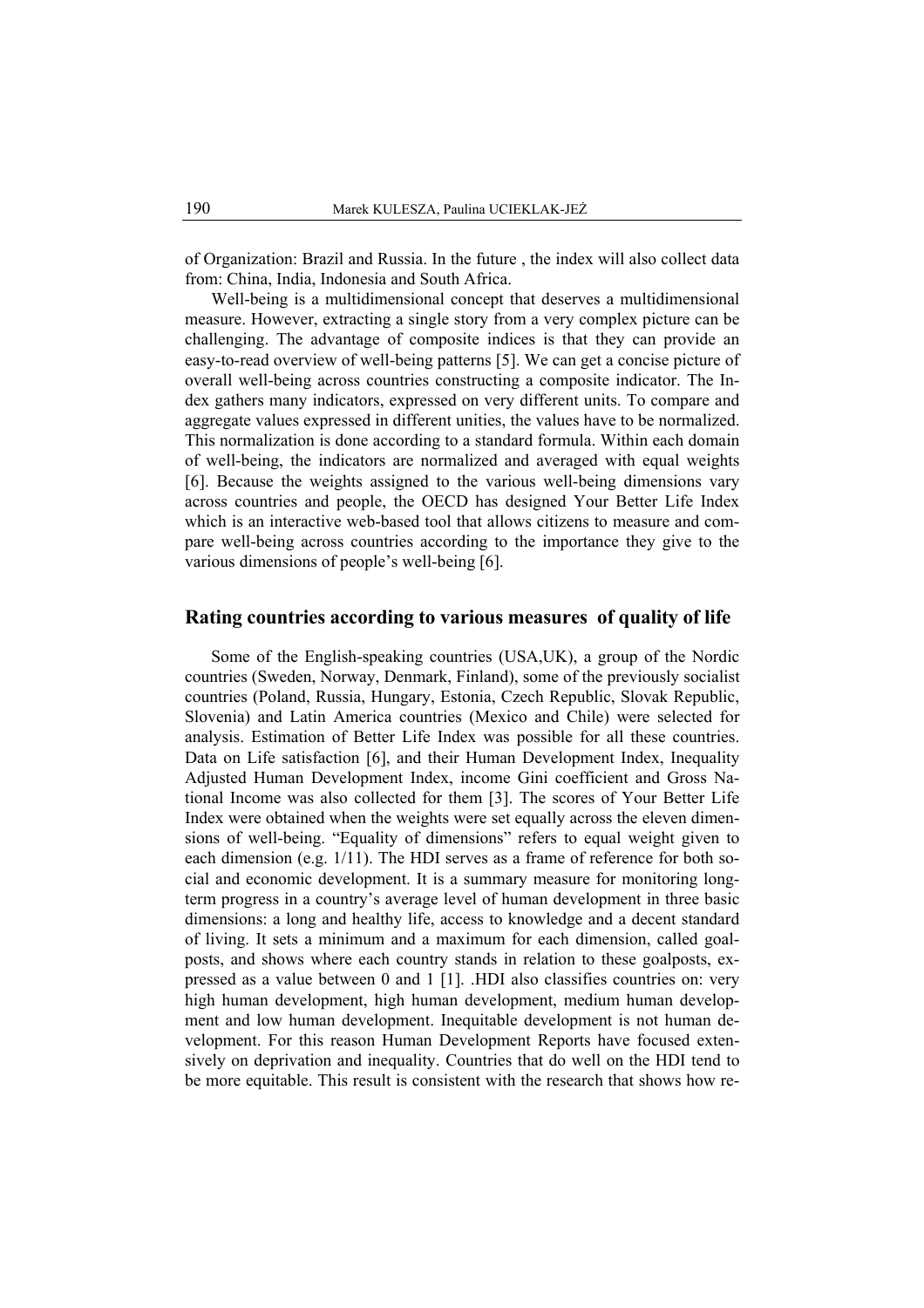of Organization: Brazil and Russia. In the future , the index will also collect data from: China, India, Indonesia and South Africa.

Well-being is a multidimensional concept that deserves a multidimensional measure. However, extracting a single story from a very complex picture can be challenging. The advantage of composite indices is that they can provide an easy-to-read overview of well-being patterns [5]. We can get a concise picture of overall well-being across countries constructing a composite indicator. The Index gathers many indicators, expressed on very different units. To compare and aggregate values expressed in different unities, the values have to be normalized. This normalization is done according to a standard formula. Within each domain of well-being, the indicators are normalized and averaged with equal weights [6]. Because the weights assigned to the various well-being dimensions vary across countries and people, the OECD has designed Your Better Life Index which is an interactive web-based tool that allows citizens to measure and compare well-being across countries according to the importance they give to the various dimensions of people's well-being [6].

#### **Rating countries according to various measures of quality of life**

Some of the English-speaking countries (USA,UK), a group of the Nordic countries (Sweden, Norway, Denmark, Finland), some of the previously socialist countries (Poland, Russia, Hungary, Estonia, Czech Republic, Slovak Republic, Slovenia) and Latin America countries (Mexico and Chile) were selected for analysis. Estimation of Better Life Index was possible for all these countries. Data on Life satisfaction [6], and their Human Development Index, Inequality Adjusted Human Development Index, income Gini coefficient and Gross National Income was also collected for them [3]. The scores of Your Better Life Index were obtained when the weights were set equally across the eleven dimensions of well-being. "Equality of dimensions" refers to equal weight given to each dimension (e.g. 1/11). The HDI serves as a frame of reference for both social and economic development. It is a summary measure for monitoring longterm progress in a country's average level of human development in three basic dimensions: a long and healthy life, access to knowledge and a decent standard of living. It sets a minimum and a maximum for each dimension, called goalposts, and shows where each country stands in relation to these goalposts, expressed as a value between 0 and 1 [1]. .HDI also classifies countries on: very high human development, high human development, medium human development and low human development. Inequitable development is not human development. For this reason Human Development Reports have focused extensively on deprivation and inequality. Countries that do well on the HDI tend to be more equitable. This result is consistent with the research that shows how re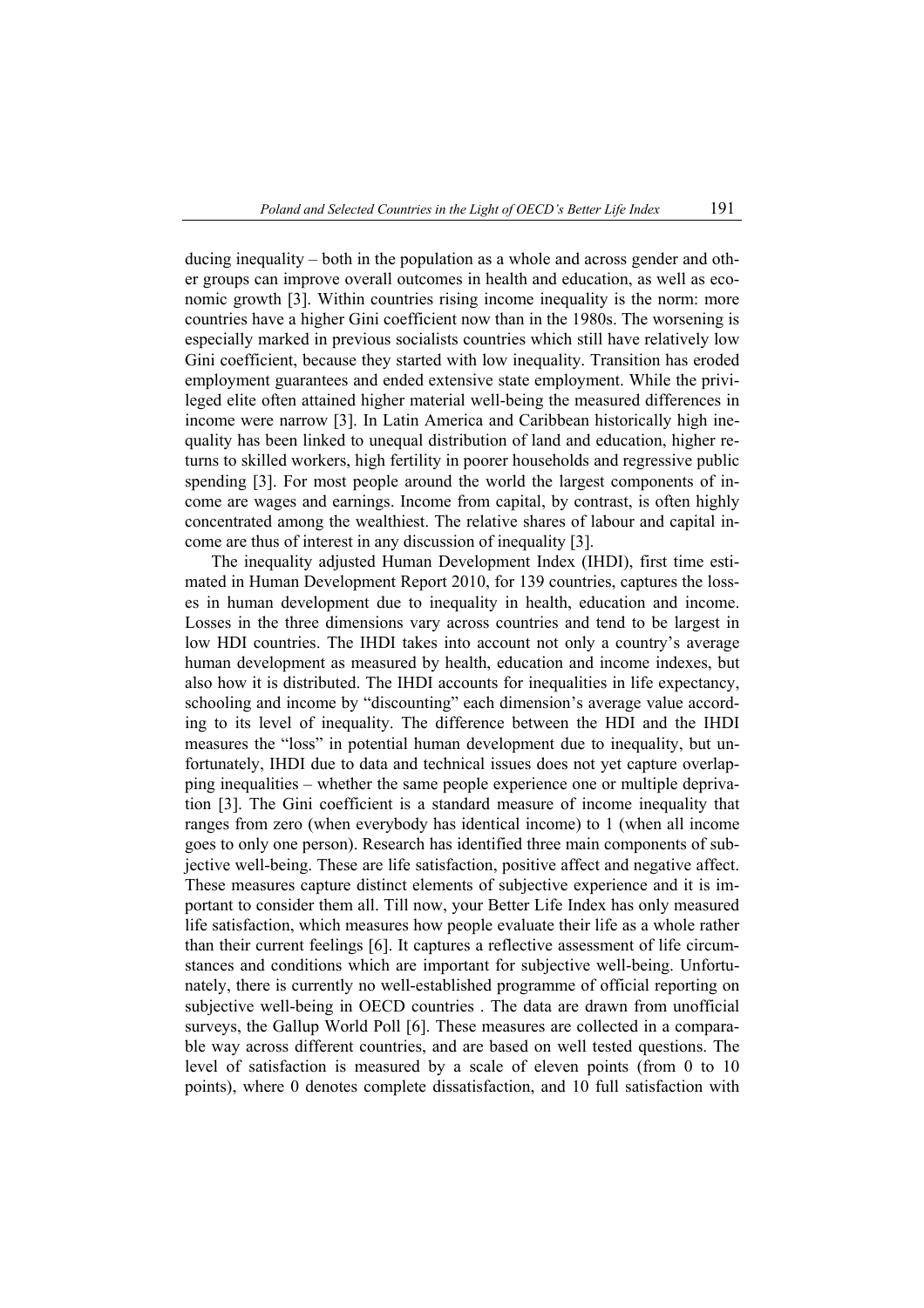ducing inequality – both in the population as a whole and across gender and other groups can improve overall outcomes in health and education, as well as economic growth [3]. Within countries rising income inequality is the norm: more countries have a higher Gini coefficient now than in the 1980s. The worsening is especially marked in previous socialists countries which still have relatively low Gini coefficient, because they started with low inequality. Transition has eroded employment guarantees and ended extensive state employment. While the privileged elite often attained higher material well-being the measured differences in income were narrow [3]. In Latin America and Caribbean historically high inequality has been linked to unequal distribution of land and education, higher returns to skilled workers, high fertility in poorer households and regressive public spending [3]. For most people around the world the largest components of income are wages and earnings. Income from capital, by contrast, is often highly concentrated among the wealthiest. The relative shares of labour and capital income are thus of interest in any discussion of inequality [3].

The inequality adjusted Human Development Index (IHDI), first time estimated in Human Development Report 2010, for 139 countries, captures the losses in human development due to inequality in health, education and income. Losses in the three dimensions vary across countries and tend to be largest in low HDI countries. The IHDI takes into account not only a country's average human development as measured by health, education and income indexes, but also how it is distributed. The IHDI accounts for inequalities in life expectancy, schooling and income by "discounting" each dimension's average value according to its level of inequality. The difference between the HDI and the IHDI measures the "loss" in potential human development due to inequality, but unfortunately, IHDI due to data and technical issues does not yet capture overlapping inequalities – whether the same people experience one or multiple deprivation [3]. The Gini coefficient is a standard measure of income inequality that ranges from zero (when everybody has identical income) to 1 (when all income goes to only one person). Research has identified three main components of subjective well-being. These are life satisfaction, positive affect and negative affect. These measures capture distinct elements of subjective experience and it is important to consider them all. Till now, your Better Life Index has only measured life satisfaction, which measures how people evaluate their life as a whole rather than their current feelings [6]. It captures a reflective assessment of life circumstances and conditions which are important for subjective well-being. Unfortunately, there is currently no well-established programme of official reporting on subjective well-being in OECD countries . The data are drawn from unofficial surveys, the Gallup World Poll [6]. These measures are collected in a comparable way across different countries, and are based on well tested questions. The level of satisfaction is measured by a scale of eleven points (from 0 to 10 points), where 0 denotes complete dissatisfaction, and 10 full satisfaction with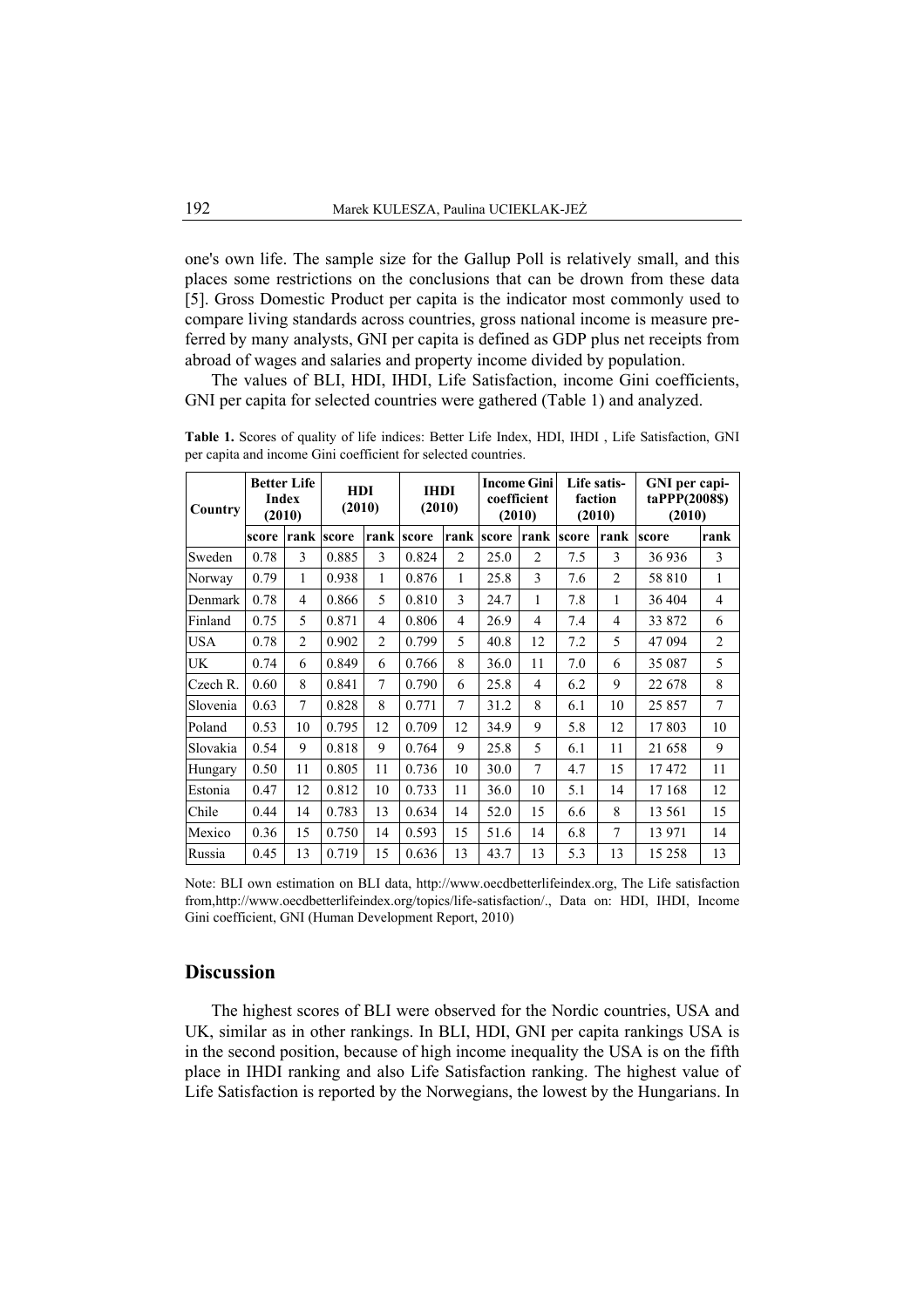one's own life. The sample size for the Gallup Poll is relatively small, and this places some restrictions on the conclusions that can be drown from these data [5]. Gross Domestic Product per capita is the indicator most commonly used to compare living standards across countries, gross national income is measure preferred by many analysts, GNI per capita is defined as GDP plus net receipts from abroad of wages and salaries and property income divided by population.

The values of BLI, HDI, IHDI, Life Satisfaction, income Gini coefficients, GNI per capita for selected countries were gathered (Table 1) and analyzed.

| Country    | <b>Better Life</b><br><b>Index</b><br>(2010) |                | HDI<br>(2010) |                | <b>THDI</b><br>(2010) |                | <b>Income Gini</b><br>coefficient<br>(2010) |                | Life satis-<br>faction<br>(2010) |                | GNI per capi-<br>taPPP(2008\$)<br>(2010) |                |
|------------|----------------------------------------------|----------------|---------------|----------------|-----------------------|----------------|---------------------------------------------|----------------|----------------------------------|----------------|------------------------------------------|----------------|
|            | score                                        | rank           | score         | rank           | score                 | rank           | score                                       | rank           | score                            | rank           | score                                    | rank           |
| Sweden     | 0.78                                         | 3              | 0.885         | 3              | 0.824                 | $\overline{2}$ | 25.0                                        | $\overline{2}$ | 7.5                              | 3              | 36 936                                   | 3              |
| Norway     | 0.79                                         | 1              | 0.938         | 1              | 0.876                 | 1              | 25.8                                        | 3              | 7.6                              | $\overline{c}$ | 58 810                                   | 1              |
| Denmark    | 0.78                                         | 4              | 0.866         | 5              | 0.810                 | 3              | 24.7                                        | 1              | 7.8                              | 1              | 36 404                                   | 4              |
| Finland    | 0.75                                         | 5              | 0.871         | $\overline{4}$ | 0.806                 | $\overline{4}$ | 26.9                                        | 4              | 7.4                              | 4              | 33 872                                   | 6              |
| <b>USA</b> | 0.78                                         | $\overline{2}$ | 0.902         | $\overline{2}$ | 0.799                 | 5              | 40.8                                        | 12             | 7.2                              | 5              | 47094                                    | $\overline{2}$ |
| UK         | 0.74                                         | 6              | 0.849         | 6              | 0.766                 | 8              | 36.0                                        | 11             | 7.0                              | 6              | 35 087                                   | 5              |
| Czech R.   | 0.60                                         | 8              | 0.841         | 7              | 0.790                 | 6              | 25.8                                        | 4              | 6.2                              | 9              | 22 678                                   | 8              |
| Slovenia   | 0.63                                         | 7              | 0.828         | 8              | 0.771                 | $\overline{7}$ | 31.2                                        | 8              | 6.1                              | 10             | 25 857                                   | $\overline{7}$ |
| Poland     | 0.53                                         | 10             | 0.795         | 12             | 0.709                 | 12             | 34.9                                        | 9              | 5.8                              | 12             | 17803                                    | 10             |
| Slovakia   | 0.54                                         | 9              | 0.818         | 9              | 0.764                 | 9              | 25.8                                        | 5              | 6.1                              | 11             | 21 658                                   | 9              |
| Hungary    | 0.50                                         | 11             | 0.805         | 11             | 0.736                 | 10             | 30.0                                        | 7              | 4.7                              | 15             | 17472                                    | 11             |
| Estonia    | 0.47                                         | 12             | 0.812         | 10             | 0.733                 | 11             | 36.0                                        | 10             | 5.1                              | 14             | 17 168                                   | 12             |
| Chile      | 0.44                                         | 14             | 0.783         | 13             | 0.634                 | 14             | 52.0                                        | 15             | 6.6                              | 8              | 13 561                                   | 15             |
| Mexico     | 0.36                                         | 15             | 0.750         | 14             | 0.593                 | 15             | 51.6                                        | 14             | 6.8                              | 7              | 13 971                                   | 14             |
| Russia     | 0.45                                         | 13             | 0.719         | 15             | 0.636                 | 13             | 43.7                                        | 13             | 5.3                              | 13             | 15 258                                   | 13             |

**Table 1.** Scores of quality of life indices: Better Life Index, HDI, IHDI , Life Satisfaction, GNI per capita and income Gini coefficient for selected countries.

Note: BLI own estimation on BLI data, http://www.oecdbetterlifeindex.org, The Life satisfaction from,http://www.oecdbetterlifeindex.org/topics/life-satisfaction/., Data on: HDI, IHDI, Income Gini coefficient, GNI (Human Development Report, 2010)

#### **Discussion**

The highest scores of BLI were observed for the Nordic countries, USA and UK, similar as in other rankings. In BLI, HDI, GNI per capita rankings USA is in the second position, because of high income inequality the USA is on the fifth place in IHDI ranking and also Life Satisfaction ranking. The highest value of Life Satisfaction is reported by the Norwegians, the lowest by the Hungarians. In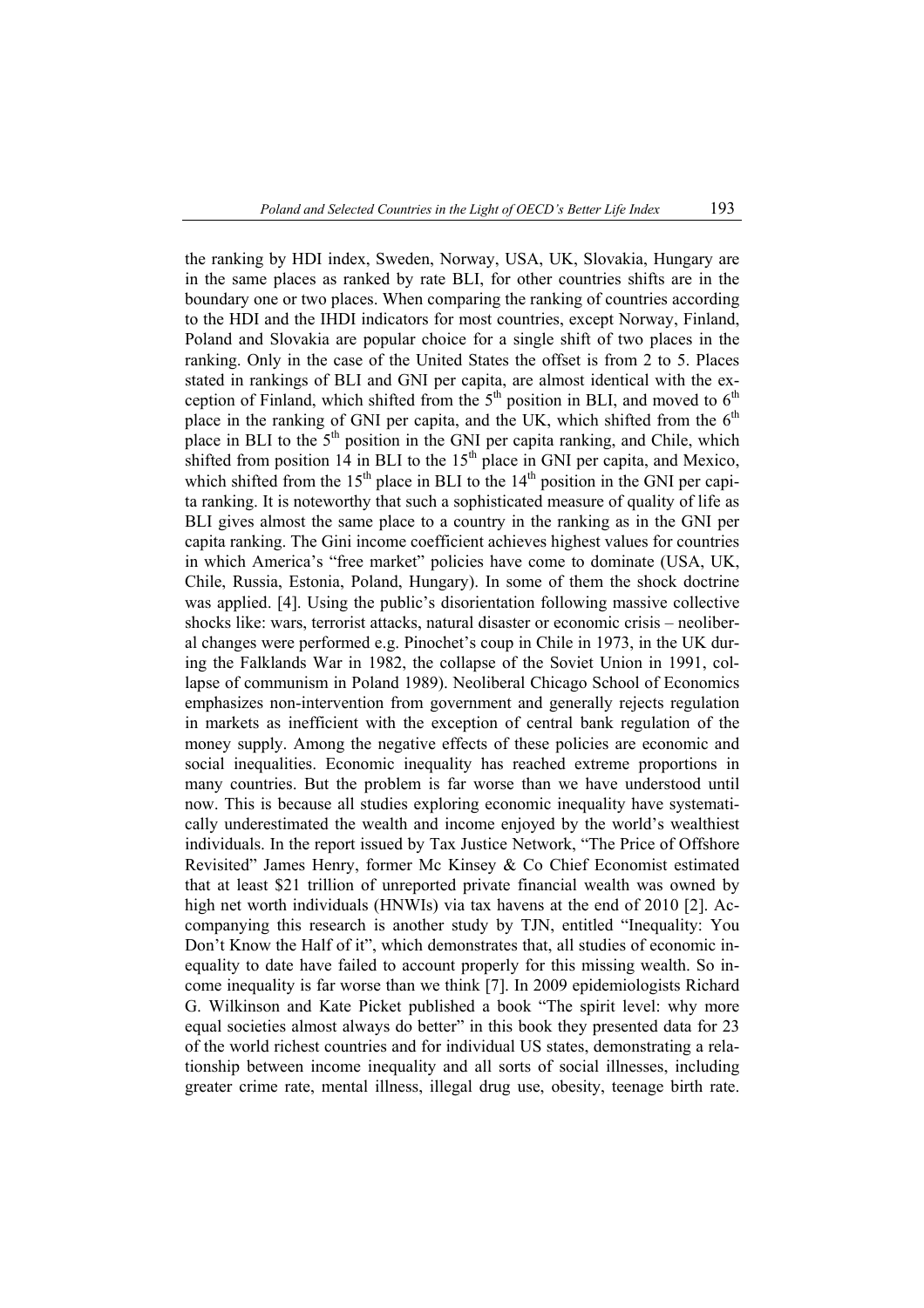the ranking by HDI index, Sweden, Norway, USA, UK, Slovakia, Hungary are in the same places as ranked by rate BLI, for other countries shifts are in the boundary one or two places. When comparing the ranking of countries according to the HDI and the IHDI indicators for most countries, except Norway, Finland, Poland and Slovakia are popular choice for a single shift of two places in the ranking. Only in the case of the United States the offset is from 2 to 5. Places stated in rankings of BLI and GNI per capita, are almost identical with the exception of Finland, which shifted from the  $5<sup>th</sup>$  position in BLI, and moved to  $6<sup>th</sup>$ place in the ranking of GNI per capita, and the UK, which shifted from the  $6<sup>th</sup>$ place in BLI to the  $5<sup>th</sup>$  position in the GNI per capita ranking, and Chile, which shifted from position  $14$  in BLI to the  $15<sup>th</sup>$  place in GNI per capita, and Mexico, which shifted from the  $15<sup>th</sup>$  place in BLI to the  $14<sup>th</sup>$  position in the GNI per capita ranking. It is noteworthy that such a sophisticated measure of quality of life as BLI gives almost the same place to a country in the ranking as in the GNI per capita ranking. The Gini income coefficient achieves highest values for countries in which America's "free market" policies have come to dominate (USA, UK, Chile, Russia, Estonia, Poland, Hungary). In some of them the shock doctrine was applied. [4]. Using the public's disorientation following massive collective shocks like: wars, terrorist attacks, natural disaster or economic crisis – neoliberal changes were performed e.g. Pinochet's coup in Chile in 1973, in the UK during the Falklands War in 1982, the collapse of the Soviet Union in 1991, collapse of communism in Poland 1989). Neoliberal Chicago School of Economics emphasizes non-intervention from government and generally rejects regulation in markets as inefficient with the exception of central bank regulation of the money supply. Among the negative effects of these policies are economic and social inequalities. Economic inequality has reached extreme proportions in many countries. But the problem is far worse than we have understood until now. This is because all studies exploring economic inequality have systematically underestimated the wealth and income enjoyed by the world's wealthiest individuals. In the report issued by Tax Justice Network, "The Price of Offshore Revisited" James Henry, former Mc Kinsey & Co Chief Economist estimated that at least \$21 trillion of unreported private financial wealth was owned by high net worth individuals (HNWIs) via tax havens at the end of 2010 [2]. Accompanying this research is another study by TJN, entitled "Inequality: You Don't Know the Half of it", which demonstrates that, all studies of economic inequality to date have failed to account properly for this missing wealth. So income inequality is far worse than we think [7]. In 2009 epidemiologists Richard G. Wilkinson and Kate Picket published a book "The spirit level: why more equal societies almost always do better" in this book they presented data for 23 of the world richest countries and for individual US states, demonstrating a relationship between income inequality and all sorts of social illnesses, including greater crime rate, mental illness, illegal drug use, obesity, teenage birth rate.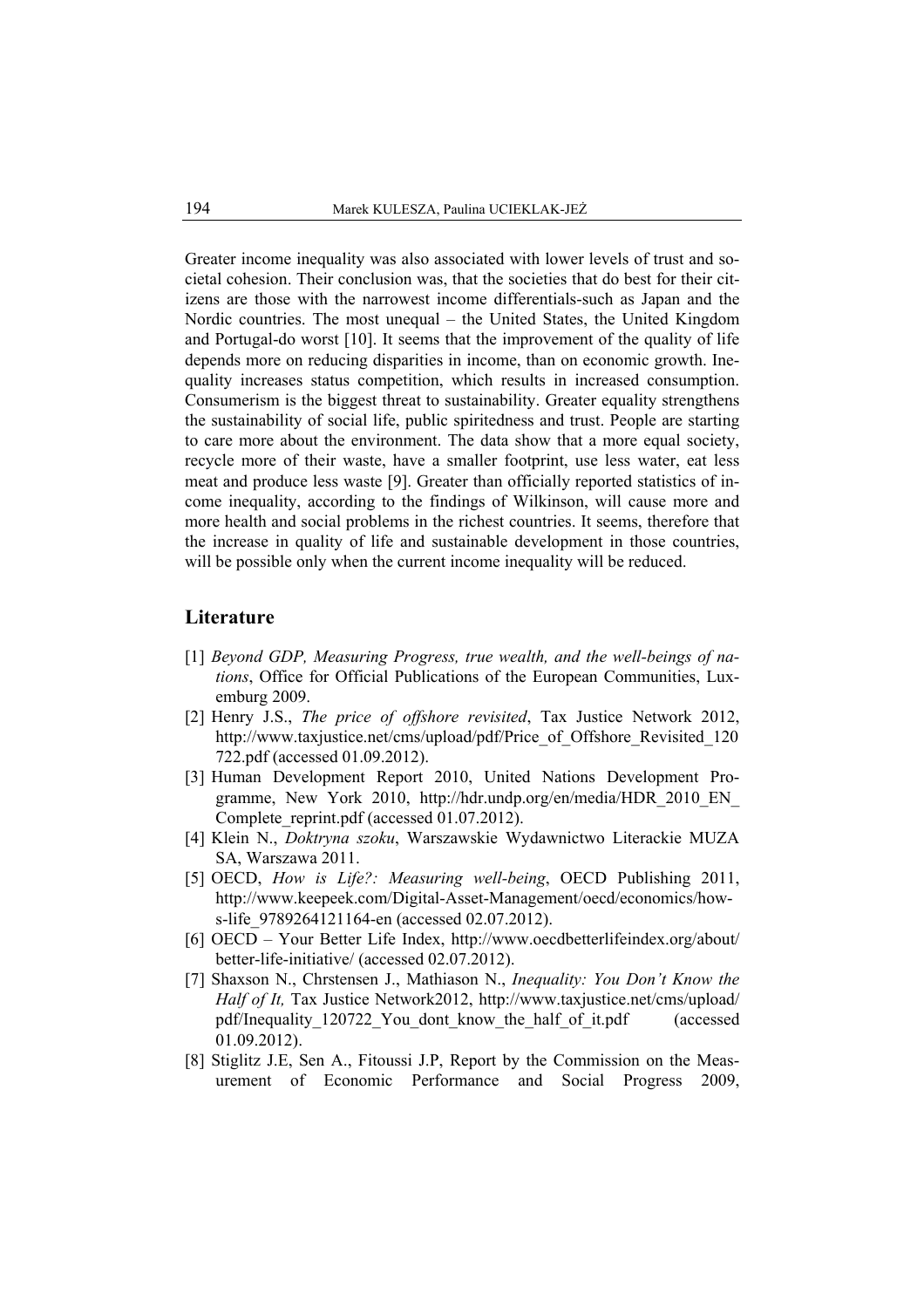Greater income inequality was also associated with lower levels of trust and societal cohesion. Their conclusion was, that the societies that do best for their citizens are those with the narrowest income differentials-such as Japan and the Nordic countries. The most unequal – the United States, the United Kingdom and Portugal-do worst [10]. It seems that the improvement of the quality of life depends more on reducing disparities in income, than on economic growth. Inequality increases status competition, which results in increased consumption. Consumerism is the biggest threat to sustainability. Greater equality strengthens the sustainability of social life, public spiritedness and trust. People are starting to care more about the environment. The data show that a more equal society, recycle more of their waste, have a smaller footprint, use less water, eat less meat and produce less waste [9]. Greater than officially reported statistics of income inequality, according to the findings of Wilkinson, will cause more and more health and social problems in the richest countries. It seems, therefore that the increase in quality of life and sustainable development in those countries, will be possible only when the current income inequality will be reduced.

#### **Literature**

- [1] *Beyond GDP, Measuring Progress, true wealth, and the well-beings of nations*, Office for Official Publications of the European Communities, Luxemburg 2009.
- [2] Henry J.S., *The price of offshore revisited*, Tax Justice Network 2012, http://www.taxjustice.net/cms/upload/pdf/Price of Offshore Revisited 120 722.pdf (accessed 01.09.2012).
- [3] Human Development Report 2010, United Nations Development Programme, New York 2010, http://hdr.undp.org/en/media/HDR\_2010\_EN\_ Complete reprint.pdf (accessed 01.07.2012).
- [4] Klein N., *Doktryna szoku*, Warszawskie Wydawnictwo Literackie MUZA SA, Warszawa 2011.
- [5] OECD, *How is Life?: Measuring well-being*, OECD Publishing 2011, http://www.keepeek.com/Digital-Asset-Management/oecd/economics/hows-life\_9789264121164-en (accessed 02.07.2012).
- [6] OECD Your Better Life Index, http://www.oecdbetterlifeindex.org/about/ better-life-initiative/ (accessed 02.07.2012).
- [7] Shaxson N., Chrstensen J., Mathiason N., *Inequality: You Don't Know the Half of It,* Tax Justice Network2012, http://www.taxjustice.net/cms/upload/ pdf/Inequality 120722 You dont know the half of it.pdf (accessed 01.09.2012).
- [8] Stiglitz J.E, Sen A., Fitoussi J.P, Report by the Commission on the Measurement of Economic Performance and Social Progress 2009,